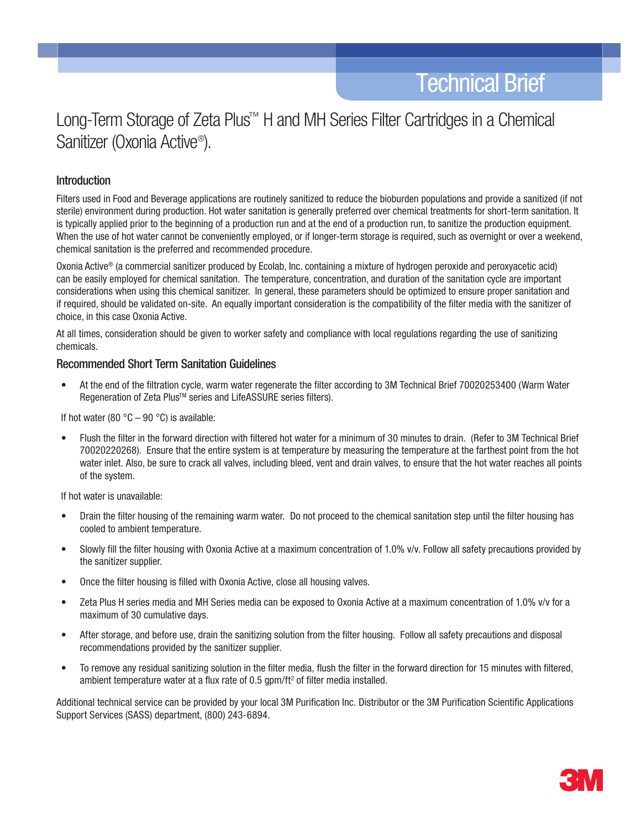# Long-Term Storage of Zeta Plus™ H and MH Series Filter Cartridges in a Chemical Sanitizer (Oxonia Active® ).

## Introduction

Filters used in Food and Beverage applications are routinely sanitized to reduce the bioburden populations and provide a sanitized (if not sterile) environment during production. Hot water sanitation is generally preferred over chemical treatments for short-term sanitation. It is typically applied prior to the beginning of a production run and at the end of a production run, to sanitize the production equipment. When the use of hot water cannot be conveniently employed, or if longer-term storage is required, such as overnight or over a weekend, chemical sanitation is the preferred and recommended procedure.

Oxonia Active® (a commercial sanitizer produced by Ecolab, Inc. containing a mixture of hydrogen peroxide and peroxyacetic acid) can be easily employed for chemical sanitation. The temperature, concentration, and duration of the sanitation cycle are important considerations when using this chemical sanitizer. In general, these parameters should be optimized to ensure proper sanitation and if required, should be validated on-site. An equally important consideration is the compatibility of the filter media with the sanitizer of choice, in this case Oxonia Active.

At all times, consideration should be given to worker safety and compliance with local regulations regarding the use of sanitizing chemicals.

## Recommended Short Term Sanitation Guidelines

• At the end of the filtration cycle, warm water regenerate the filter according to 3M Technical Brief 70020253400 (Warm Water Regeneration of Zeta Plus™ series and LifeASSURE series filters).

If hot water (80  $^{\circ}$ C – 90  $^{\circ}$ C) is available:

Flush the filter in the forward direction with filtered hot water for a minimum of 30 minutes to drain. (Refer to 3M Technical Brief 70020220268). Ensure that the entire system is at temperature by measuring the temperature at the farthest point from the hot water inlet. Also, be sure to crack all valves, including bleed, vent and drain valves, to ensure that the hot water reaches all points of the system.

If hot water is unavailable:

- Drain the filter housing of the remaining warm water. Do not proceed to the chemical sanitation step until the filter housing has cooled to ambient temperature.
- Slowly fill the filter housing with Oxonia Active at a maximum concentration of 1.0% v/v. Follow all safety precautions provided by the sanitizer supplier.
- Once the filter housing is filled with Oxonia Active, close all housing valves.
- Zeta Plus H series media and MH Series media can be exposed to Oxonia Active at a maximum concentration of 1.0% v/v for a maximum of 30 cumulative days.
- After storage, and before use, drain the sanitizing solution from the filter housing. Follow all safety precautions and disposal recommendations provided by the sanitizer supplier.
- • To remove any residual sanitizing solution in the filter media, flush the filter in the forward direction for 15 minutes with filtered, ambient temperature water at a flux rate of  $0.5$  gpm/ft<sup>2</sup> of filter media installed.

Additional technical service can be provided by your local 3M Purification Inc. Distributor or the 3M Purification Scientific Applications Support Services (SASS) department, (800) 243-6894.